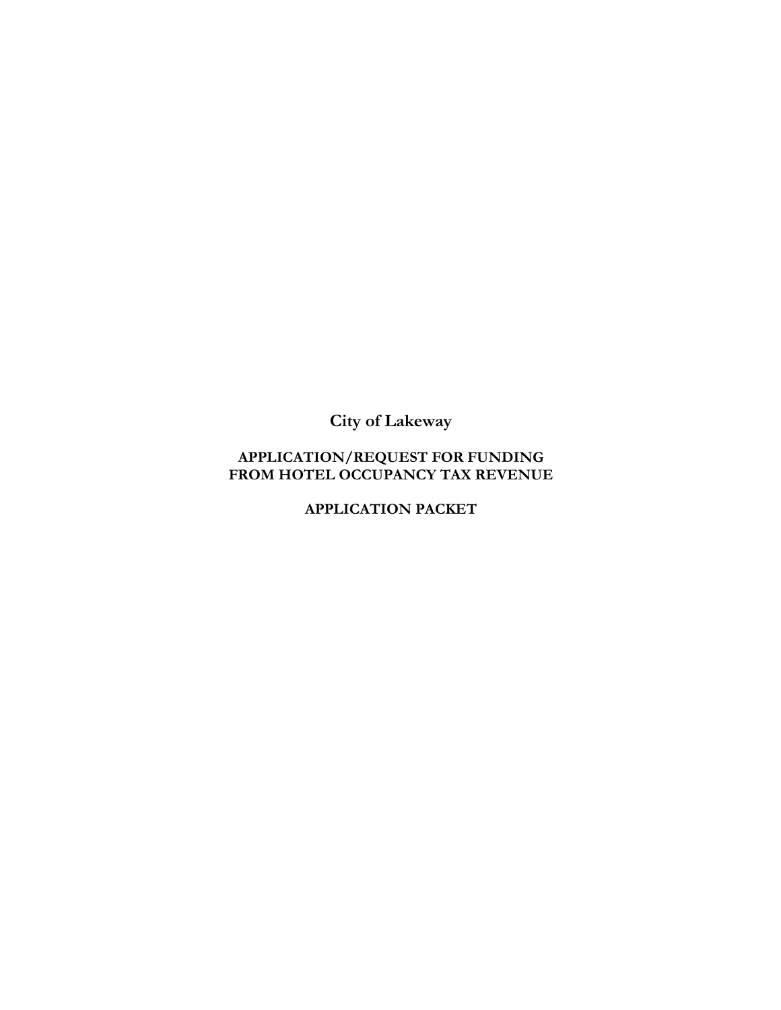**City of Lakeway**

#### **APPLICATION/REQUEST FOR FUNDING FROM HOTEL OCCUPANCY TAX REVENUE**

**APPLICATION PACKET**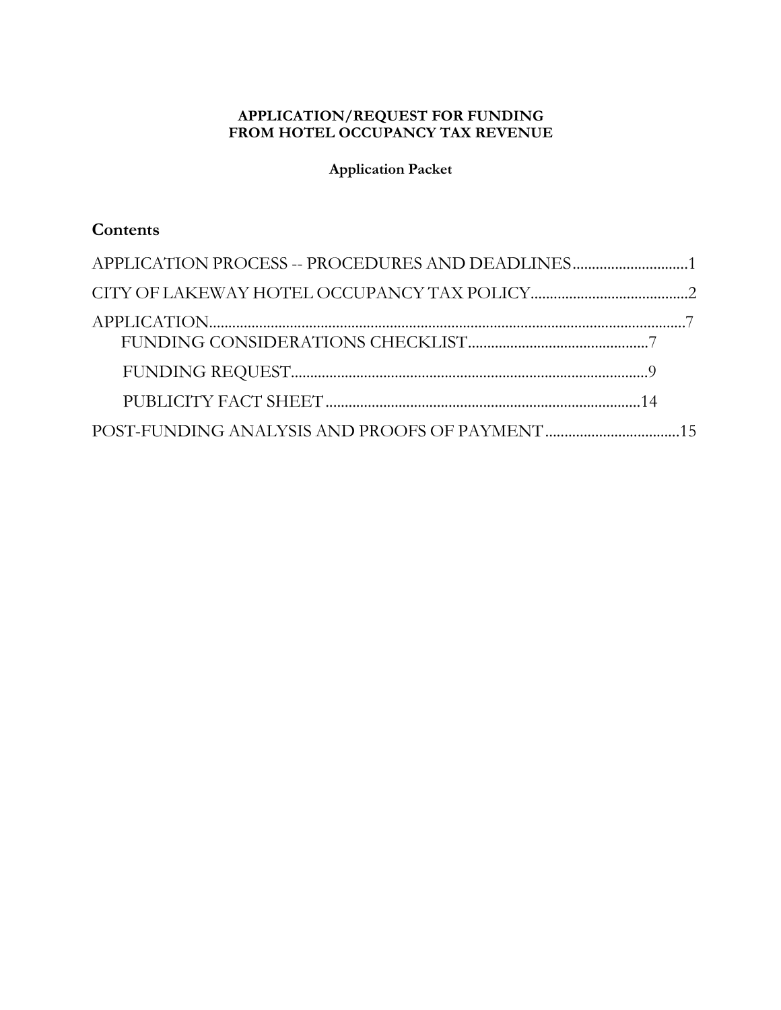#### **APPLICATION/REQUEST FOR FUNDING FROM HOTEL OCCUPANCY TAX REVENUE**

**Application Packet**

# **Contents**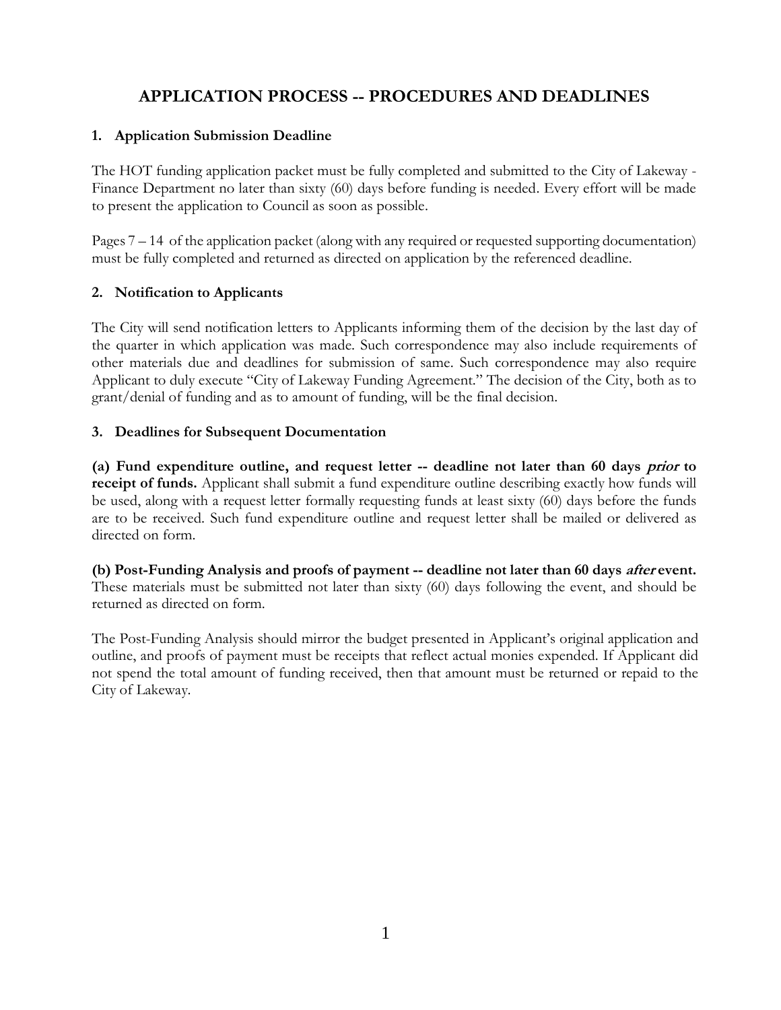# **APPLICATION PROCESS -- PROCEDURES AND DEADLINES**

#### **1. Application Submission Deadline**

The HOT funding application packet must be fully completed and submitted to the City of Lakeway - Finance Department no later than sixty (60) days before funding is needed. Every effort will be made to present the application to Council as soon as possible.

Pages 7 – 14 of the application packet (along with any required or requested supporting documentation) must be fully completed and returned as directed on application by the referenced deadline.

#### **2. Notification to Applicants**

The City will send notification letters to Applicants informing them of the decision by the last day of the quarter in which application was made. Such correspondence may also include requirements of other materials due and deadlines for submission of same. Such correspondence may also require Applicant to duly execute "City of Lakeway Funding Agreement." The decision of the City, both as to grant/denial of funding and as to amount of funding, will be the final decision.

#### **3. Deadlines for Subsequent Documentation**

**(a) Fund expenditure outline, and request letter -- deadline not later than 60 days prior to receipt of funds.** Applicant shall submit a fund expenditure outline describing exactly how funds will be used, along with a request letter formally requesting funds at least sixty (60) days before the funds are to be received. Such fund expenditure outline and request letter shall be mailed or delivered as directed on form.

**(b) Post-Funding Analysis and proofs of payment -- deadline not later than 60 days after event.**  These materials must be submitted not later than sixty (60) days following the event, and should be returned as directed on form.

The Post-Funding Analysis should mirror the budget presented in Applicant's original application and outline, and proofs of payment must be receipts that reflect actual monies expended. If Applicant did not spend the total amount of funding received, then that amount must be returned or repaid to the City of Lakeway.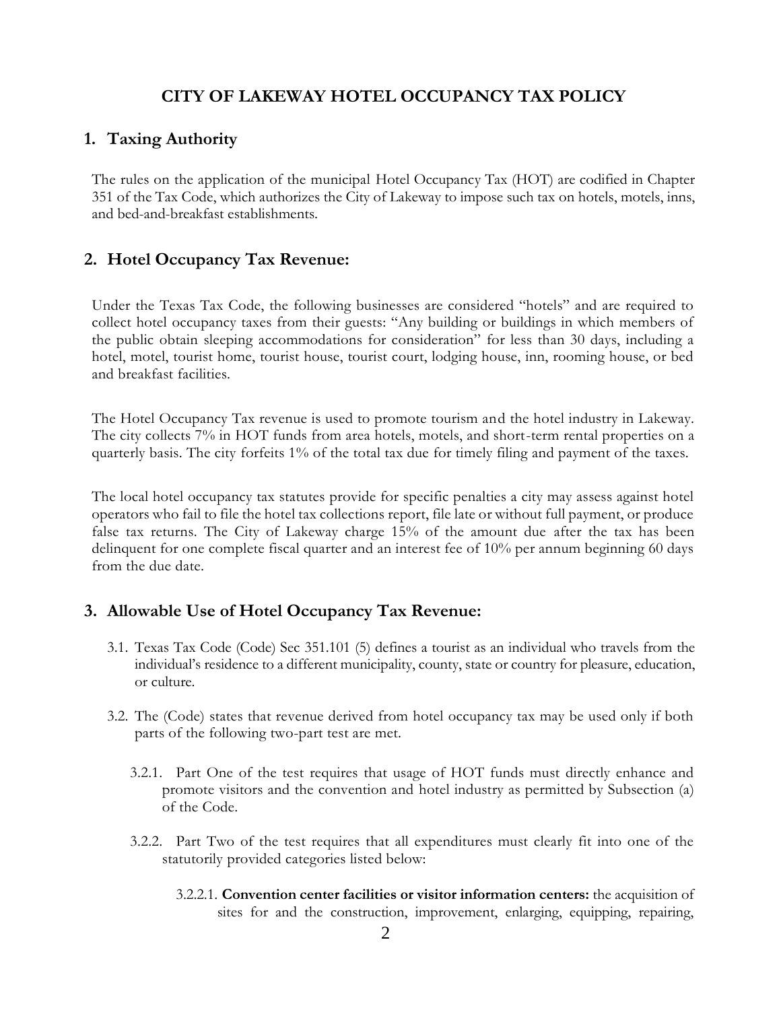### **CITY OF LAKEWAY HOTEL OCCUPANCY TAX POLICY**

#### **1. Taxing Authority**

The rules on the application of the municipal Hotel Occupancy Tax (HOT) are codified in Chapter 351 of the Tax Code, which authorizes the City of Lakeway to impose such tax on hotels, motels, inns, and bed-and-breakfast establishments.

#### **2. Hotel Occupancy Tax Revenue:**

Under the Texas Tax Code, the following businesses are considered "hotels" and are required to collect hotel occupancy taxes from their guests: "Any building or buildings in which members of the public obtain sleeping accommodations for consideration" for less than 30 days, including a hotel, motel, tourist home, tourist house, tourist court, lodging house, inn, rooming house, or bed and breakfast facilities.

The Hotel Occupancy Tax revenue is used to promote tourism and the hotel industry in Lakeway. The city collects 7% in HOT funds from area hotels, motels, and short-term rental properties on a quarterly basis. The city forfeits 1% of the total tax due for timely filing and payment of the taxes.

The local hotel occupancy tax statutes provide for specific penalties a city may assess against hotel operators who fail to file the hotel tax collections report, file late or without full payment, or produce false tax returns. The City of Lakeway charge 15% of the amount due after the tax has been delinquent for one complete fiscal quarter and an interest fee of 10% per annum beginning 60 days from the due date.

#### **3. Allowable Use of Hotel Occupancy Tax Revenue:**

- 3.1. Texas Tax Code (Code) Sec 351.101 (5) defines a tourist as an individual who travels from the individual's residence to a different municipality, county, state or country for pleasure, education, or culture.
- 3.2. The (Code) states that revenue derived from hotel occupancy tax may be used only if both parts of the following two-part test are met.
	- 3.2.1. Part One of the test requires that usage of HOT funds must directly enhance and promote visitors and the convention and hotel industry as permitted by Subsection (a) of the Code.
	- 3.2.2. Part Two of the test requires that all expenditures must clearly fit into one of the statutorily provided categories listed below:
		- 3.2.2.1. **Convention center facilities or visitor information centers:** the acquisition of sites for and the construction, improvement, enlarging, equipping, repairing,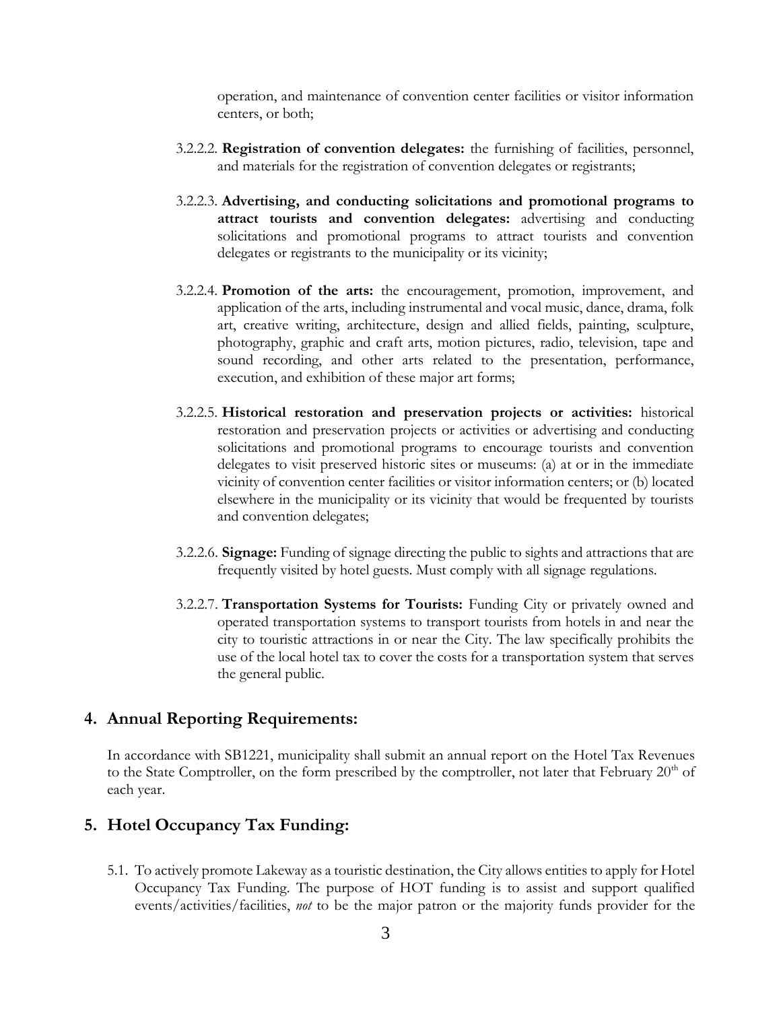operation, and maintenance of convention center facilities or visitor information centers, or both;

- 3.2.2.2. **Registration of convention delegates:** the furnishing of facilities, personnel, and materials for the registration of convention delegates or registrants;
- 3.2.2.3. **Advertising, and conducting solicitations and promotional programs to attract tourists and convention delegates:** advertising and conducting solicitations and promotional programs to attract tourists and convention delegates or registrants to the municipality or its vicinity;
- 3.2.2.4. **Promotion of the arts:** the encouragement, promotion, improvement, and application of the arts, including instrumental and vocal music, dance, drama, folk art, creative writing, architecture, design and allied fields, painting, sculpture, photography, graphic and craft arts, motion pictures, radio, television, tape and sound recording, and other arts related to the presentation, performance, execution, and exhibition of these major art forms;
- 3.2.2.5. **Historical restoration and preservation projects or activities:** historical restoration and preservation projects or activities or advertising and conducting solicitations and promotional programs to encourage tourists and convention delegates to visit preserved historic sites or museums: (a) at or in the immediate vicinity of convention center facilities or visitor information centers; or (b) located elsewhere in the municipality or its vicinity that would be frequented by tourists and convention delegates;
- 3.2.2.6. **Signage:** Funding of signage directing the public to sights and attractions that are frequently visited by hotel guests. Must comply with all signage regulations.
- 3.2.2.7. **Transportation Systems for Tourists:** Funding City or privately owned and operated transportation systems to transport tourists from hotels in and near the city to touristic attractions in or near the City. The law specifically prohibits the use of the local hotel tax to cover the costs for a transportation system that serves the general public.

#### **4. Annual Reporting Requirements:**

In accordance with SB1221, municipality shall submit an annual report on the Hotel Tax Revenues to the State Comptroller, on the form prescribed by the comptroller, not later that February 20<sup>th</sup> of each year.

#### **5. Hotel Occupancy Tax Funding:**

5.1. To actively promote Lakeway as a touristic destination, the City allows entities to apply for Hotel Occupancy Tax Funding. The purpose of HOT funding is to assist and support qualified events/activities/facilities, *not* to be the major patron or the majority funds provider for the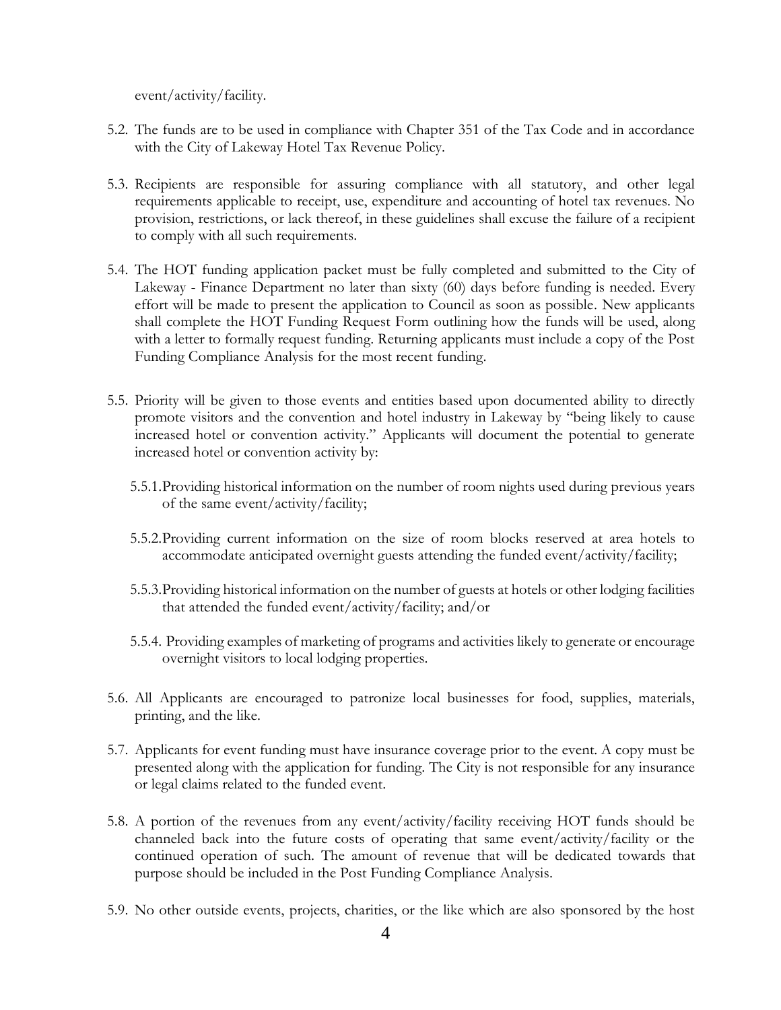event/activity/facility.

- 5.2. The funds are to be used in compliance with Chapter 351 of the Tax Code and in accordance with the City of Lakeway Hotel Tax Revenue Policy.
- 5.3. Recipients are responsible for assuring compliance with all statutory, and other legal requirements applicable to receipt, use, expenditure and accounting of hotel tax revenues. No provision, restrictions, or lack thereof, in these guidelines shall excuse the failure of a recipient to comply with all such requirements.
- 5.4. The HOT funding application packet must be fully completed and submitted to the City of Lakeway - Finance Department no later than sixty (60) days before funding is needed. Every effort will be made to present the application to Council as soon as possible. New applicants shall complete the HOT Funding Request Form outlining how the funds will be used, along with a letter to formally request funding. Returning applicants must include a copy of the Post Funding Compliance Analysis for the most recent funding.
- 5.5. Priority will be given to those events and entities based upon documented ability to directly promote visitors and the convention and hotel industry in Lakeway by "being likely to cause increased hotel or convention activity." Applicants will document the potential to generate increased hotel or convention activity by:
	- 5.5.1.Providing historical information on the number of room nights used during previous years of the same event/activity/facility;
	- 5.5.2.Providing current information on the size of room blocks reserved at area hotels to accommodate anticipated overnight guests attending the funded event/activity/facility;
	- 5.5.3.Providing historical information on the number of guests at hotels or other lodging facilities that attended the funded event/activity/facility; and/or
	- 5.5.4. Providing examples of marketing of programs and activities likely to generate or encourage overnight visitors to local lodging properties.
- 5.6. All Applicants are encouraged to patronize local businesses for food, supplies, materials, printing, and the like.
- 5.7. Applicants for event funding must have insurance coverage prior to the event. A copy must be presented along with the application for funding. The City is not responsible for any insurance or legal claims related to the funded event.
- 5.8. A portion of the revenues from any event/activity/facility receiving HOT funds should be channeled back into the future costs of operating that same event/activity/facility or the continued operation of such. The amount of revenue that will be dedicated towards that purpose should be included in the Post Funding Compliance Analysis.
- 5.9. No other outside events, projects, charities, or the like which are also sponsored by the host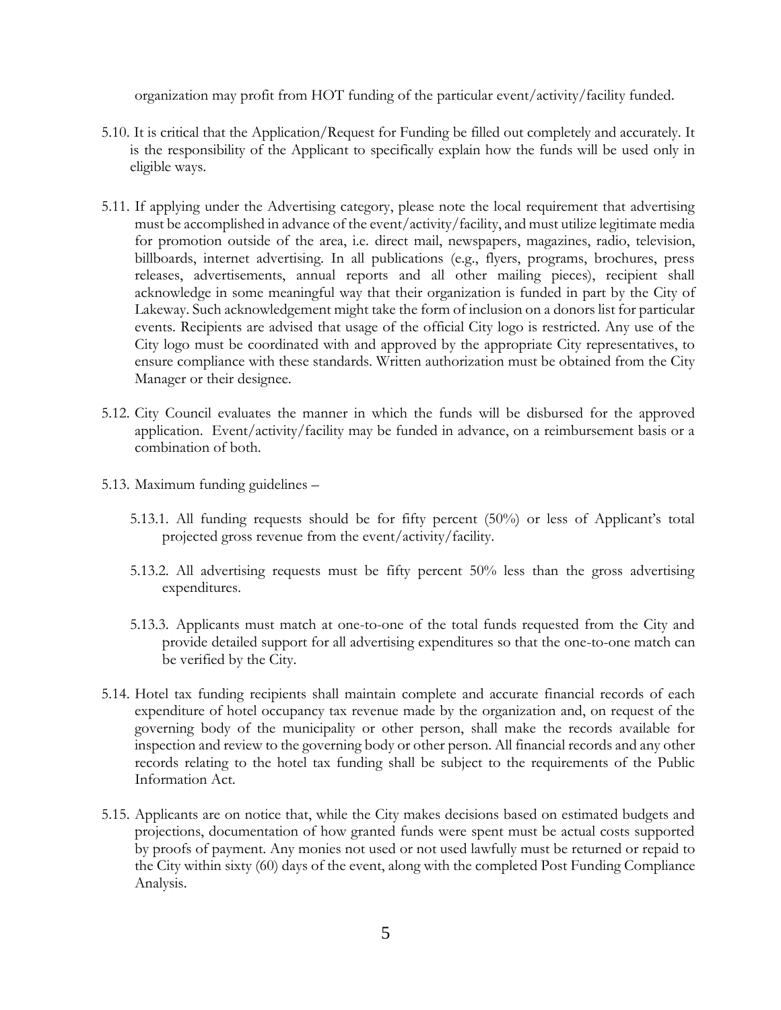organization may profit from HOT funding of the particular event/activity/facility funded.

- 5.10. It is critical that the Application/Request for Funding be filled out completely and accurately. It is the responsibility of the Applicant to specifically explain how the funds will be used only in eligible ways.
- 5.11. If applying under the Advertising category, please note the local requirement that advertising must be accomplished in advance of the event/activity/facility, and must utilize legitimate media for promotion outside of the area, i.e. direct mail, newspapers, magazines, radio, television, billboards, internet advertising. In all publications (e.g., flyers, programs, brochures, press releases, advertisements, annual reports and all other mailing pieces), recipient shall acknowledge in some meaningful way that their organization is funded in part by the City of Lakeway. Such acknowledgement might take the form of inclusion on a donors list for particular events. Recipients are advised that usage of the official City logo is restricted. Any use of the City logo must be coordinated with and approved by the appropriate City representatives, to ensure compliance with these standards. Written authorization must be obtained from the City Manager or their designee.
- 5.12. City Council evaluates the manner in which the funds will be disbursed for the approved application. Event/activity/facility may be funded in advance, on a reimbursement basis or a combination of both.
- 5.13. Maximum funding guidelines
	- 5.13.1. All funding requests should be for fifty percent (50%) or less of Applicant's total projected gross revenue from the event/activity/facility.
	- 5.13.2. All advertising requests must be fifty percent 50% less than the gross advertising expenditures.
	- 5.13.3. Applicants must match at one-to-one of the total funds requested from the City and provide detailed support for all advertising expenditures so that the one-to-one match can be verified by the City.
- 5.14. Hotel tax funding recipients shall maintain complete and accurate financial records of each expenditure of hotel occupancy tax revenue made by the organization and, on request of the governing body of the municipality or other person, shall make the records available for inspection and review to the governing body or other person. All financial records and any other records relating to the hotel tax funding shall be subject to the requirements of the Public Information Act.
- 5.15. Applicants are on notice that, while the City makes decisions based on estimated budgets and projections, documentation of how granted funds were spent must be actual costs supported by proofs of payment. Any monies not used or not used lawfully must be returned or repaid to the City within sixty (60) days of the event, along with the completed Post Funding Compliance Analysis.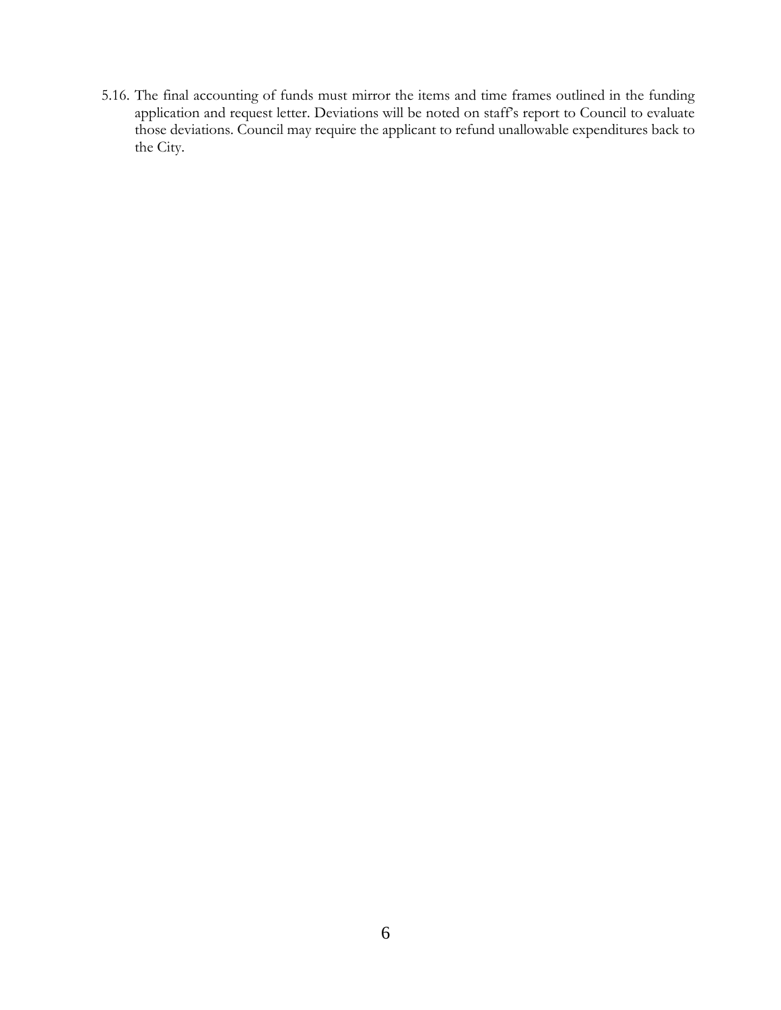5.16. The final accounting of funds must mirror the items and time frames outlined in the funding application and request letter. Deviations will be noted on staff's report to Council to evaluate those deviations. Council may require the applicant to refund unallowable expenditures back to the City.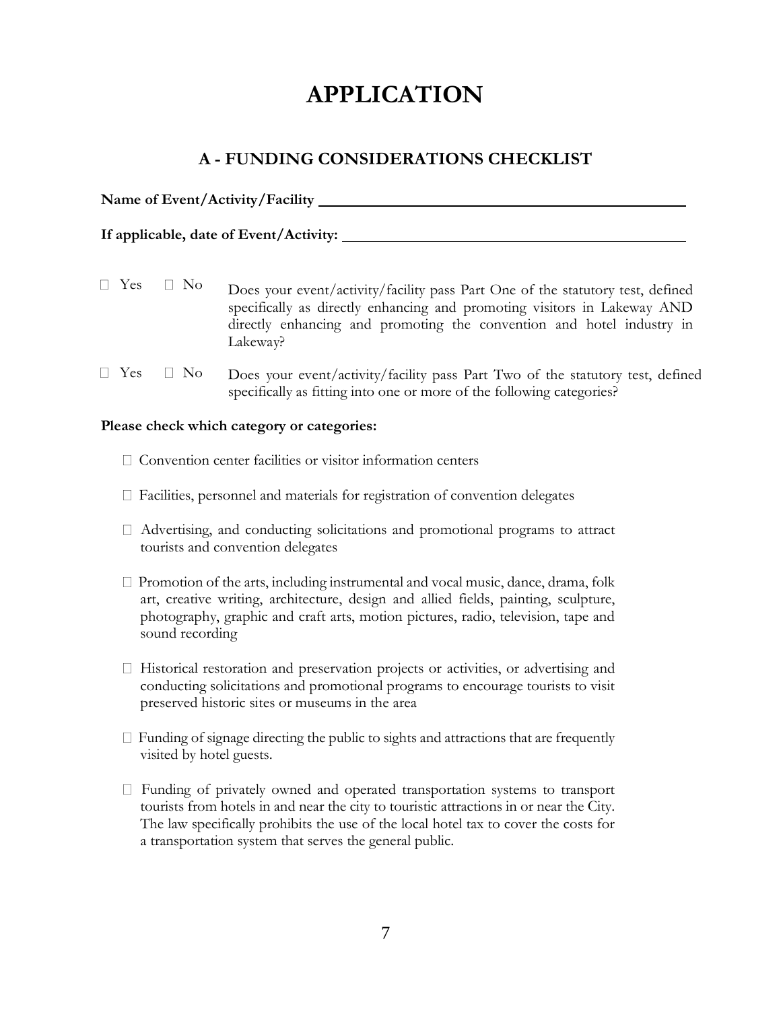# **APPLICATION**

## **A - FUNDING CONSIDERATIONS CHECKLIST**

| Name of Event/Activity/Facility |  |
|---------------------------------|--|
|                                 |  |

 $\Box$  Yes  $\Box$  No Does your event/activity/facility pass Part One of the statutory test, defined specifically as directly enhancing and promoting visitors in Lakeway AND directly enhancing and promoting the convention and hotel industry in Lakeway?

 $\Box$  Yes  $\Box$  No Does your event/activity/facility pass Part Two of the statutory test, defined specifically as fitting into one or more of the following categories?

#### **Please check which category or categories:**

**If applicable, date of Event/Activity:**

- $\Box$  Convention center facilities or visitor information centers
- Facilities, personnel and materials for registration of convention delegates
- $\Box$  Advertising, and conducting solicitations and promotional programs to attract tourists and convention delegates
- $\Box$  Promotion of the arts, including instrumental and vocal music, dance, drama, folk art, creative writing, architecture, design and allied fields, painting, sculpture, photography, graphic and craft arts, motion pictures, radio, television, tape and sound recording
- $\Box$  Historical restoration and preservation projects or activities, or advertising and conducting solicitations and promotional programs to encourage tourists to visit preserved historic sites or museums in the area
- $\Box$  Funding of signage directing the public to sights and attractions that are frequently visited by hotel guests.
- $\Box$  Funding of privately owned and operated transportation systems to transport tourists from hotels in and near the city to touristic attractions in or near the City. The law specifically prohibits the use of the local hotel tax to cover the costs for a transportation system that serves the general public.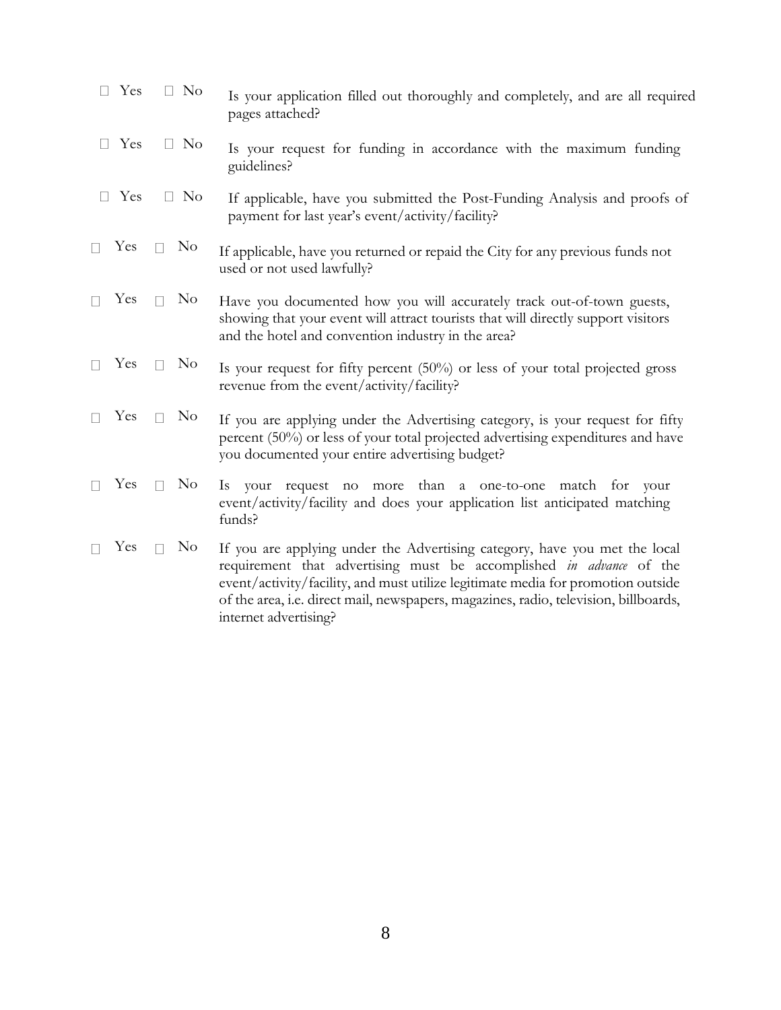|        | Yes | $\Box$ No                | Is your application filled out thoroughly and completely, and are all required<br>pages attached?                                                                                                                                                                                                                                                      |  |
|--------|-----|--------------------------|--------------------------------------------------------------------------------------------------------------------------------------------------------------------------------------------------------------------------------------------------------------------------------------------------------------------------------------------------------|--|
|        | Yes | $\Box$ No                | Is your request for funding in accordance with the maximum funding<br>guidelines?                                                                                                                                                                                                                                                                      |  |
| $\Box$ | Yes | $\Box$ No                | If applicable, have you submitted the Post-Funding Analysis and proofs of<br>payment for last year's event/activity/facility?                                                                                                                                                                                                                          |  |
|        | Yes | N <sub>0</sub><br>$\Box$ | If applicable, have you returned or repaid the City for any previous funds not<br>used or not used lawfully?                                                                                                                                                                                                                                           |  |
|        | Yes | N <sub>o</sub><br>$\Box$ | Have you documented how you will accurately track out-of-town guests,<br>showing that your event will attract tourists that will directly support visitors<br>and the hotel and convention industry in the area?                                                                                                                                       |  |
|        | Yes | N <sub>0</sub>           | Is your request for fifty percent (50%) or less of your total projected gross<br>revenue from the event/activity/facility?                                                                                                                                                                                                                             |  |
|        | Yes | N <sub>0</sub><br>П      | If you are applying under the Advertising category, is your request for fifty<br>percent (50%) or less of your total projected advertising expenditures and have<br>you documented your entire advertising budget?                                                                                                                                     |  |
|        | Yes | N <sub>0</sub><br>$\Box$ | your request no more than a one-to-one match for your<br>Is.<br>event/activity/facility and does your application list anticipated matching<br>funds?                                                                                                                                                                                                  |  |
|        | Yes | N <sub>0</sub><br>$\Box$ | If you are applying under the Advertising category, have you met the local<br>requirement that advertising must be accomplished in advance of the<br>event/activity/facility, and must utilize legitimate media for promotion outside<br>of the area, i.e. direct mail, newspapers, magazines, radio, television, billboards,<br>internet advertising? |  |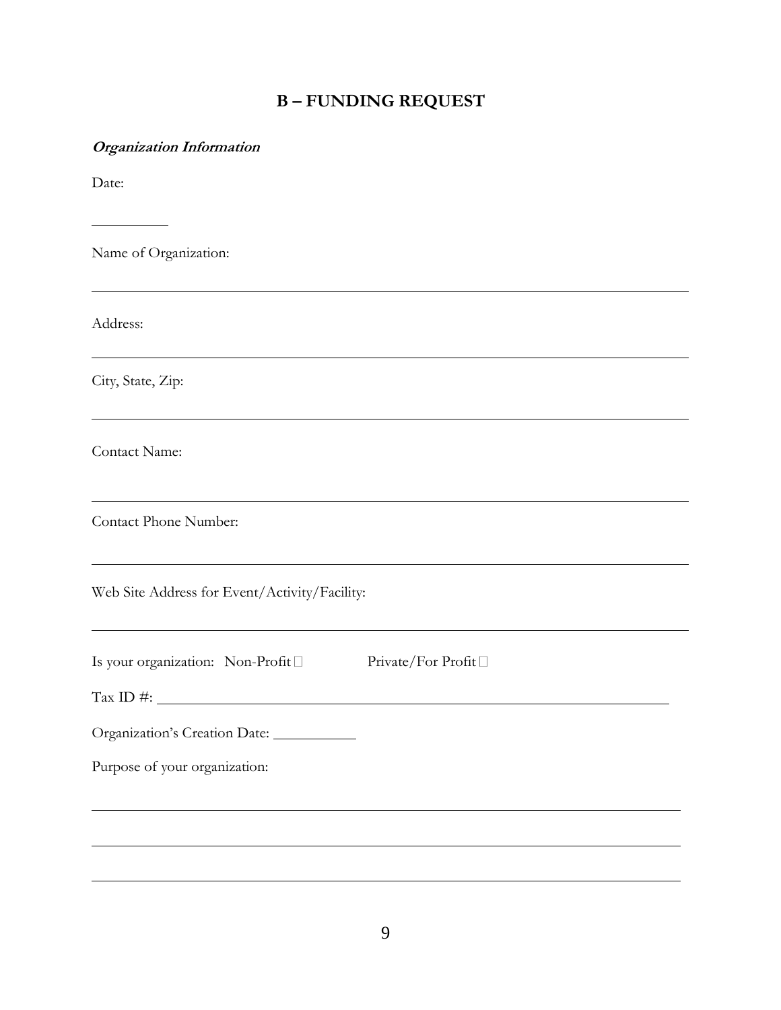# **B – FUNDING REQUEST**

| <b>Organization Information</b>                                    |
|--------------------------------------------------------------------|
| Date:                                                              |
| Name of Organization:                                              |
| Address:                                                           |
| City, State, Zip:                                                  |
| Contact Name:                                                      |
| Contact Phone Number:                                              |
| Web Site Address for Event/Activity/Facility:                      |
| Is your organization: Non-Profit $\square$<br>Private/For Profit □ |
| Tax ID #: $\qquad \qquad$                                          |
| Organization's Creation Date:                                      |
| Purpose of your organization:                                      |
|                                                                    |
|                                                                    |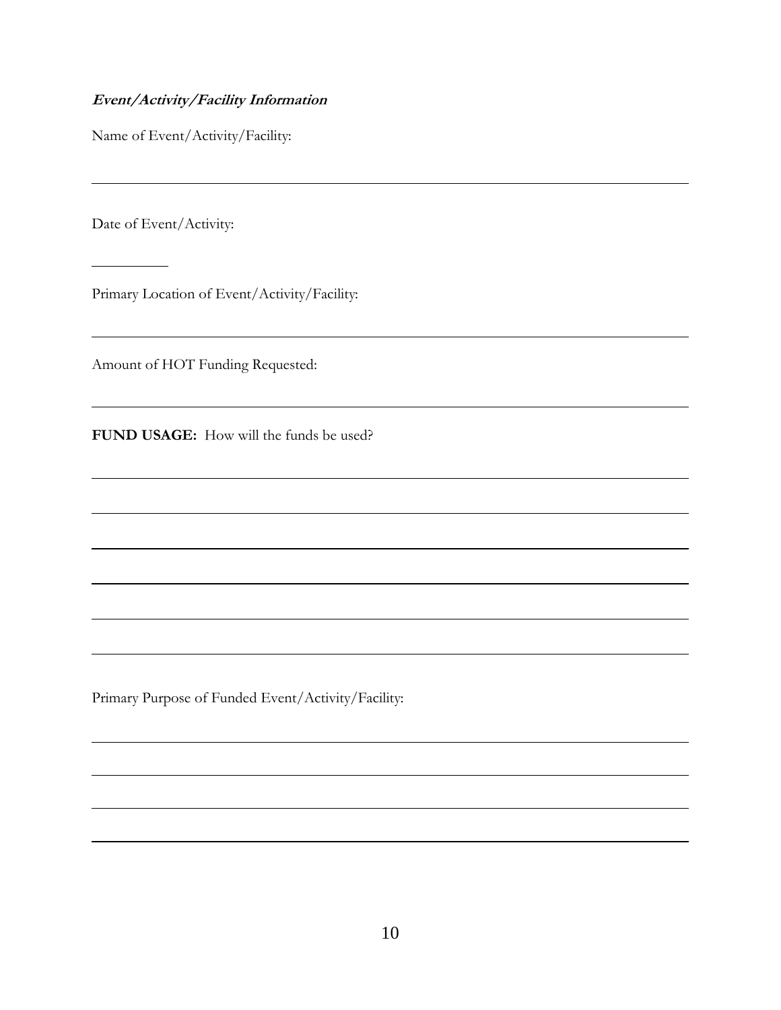#### **Event/Activity/Facility Information**

Name of Event/Activity/Facility:

Date of Event/Activity:

Primary Location of Event/Activity/Facility:

Amount of HOT Funding Requested:

**FUND USAGE:** How will the funds be used?

Primary Purpose of Funded Event/Activity/Facility: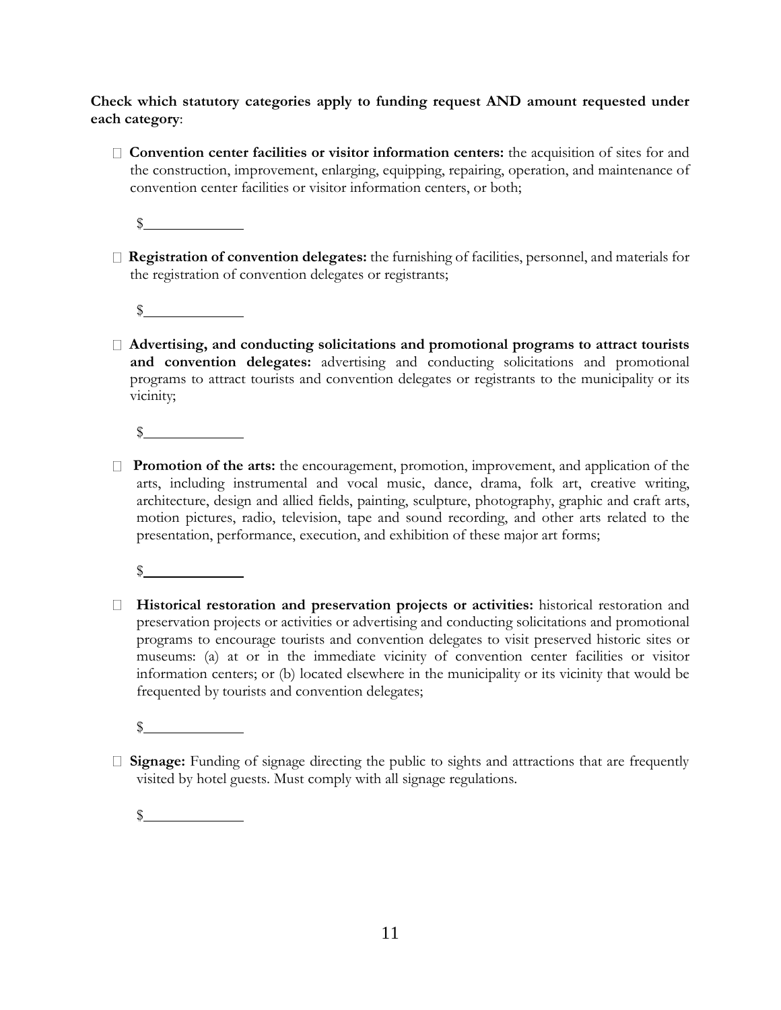**Check which statutory categories apply to funding request AND amount requested under each category**:

**Convention center facilities or visitor information centers:** the acquisition of sites for and the construction, improvement, enlarging, equipping, repairing, operation, and maintenance of convention center facilities or visitor information centers, or both;

 $\mathbb S$ 

- **Registration of convention delegates:** the furnishing of facilities, personnel, and materials for the registration of convention delegates or registrants;
	- $\frac{1}{2}$
- **Advertising, and conducting solicitations and promotional programs to attract tourists and convention delegates:** advertising and conducting solicitations and promotional programs to attract tourists and convention delegates or registrants to the municipality or its vicinity;

 $\mathbb{S}$ 

 **Promotion of the arts:** the encouragement, promotion, improvement, and application of the arts, including instrumental and vocal music, dance, drama, folk art, creative writing, architecture, design and allied fields, painting, sculpture, photography, graphic and craft arts, motion pictures, radio, television, tape and sound recording, and other arts related to the presentation, performance, execution, and exhibition of these major art forms;

 $\sim$ 

 **Historical restoration and preservation projects or activities:** historical restoration and preservation projects or activities or advertising and conducting solicitations and promotional programs to encourage tourists and convention delegates to visit preserved historic sites or museums: (a) at or in the immediate vicinity of convention center facilities or visitor information centers; or (b) located elsewhere in the municipality or its vicinity that would be frequented by tourists and convention delegates;

 $\mathbb{S}$ 

**Signage:** Funding of signage directing the public to sights and attractions that are frequently visited by hotel guests. Must comply with all signage regulations.

 $\frac{1}{2}$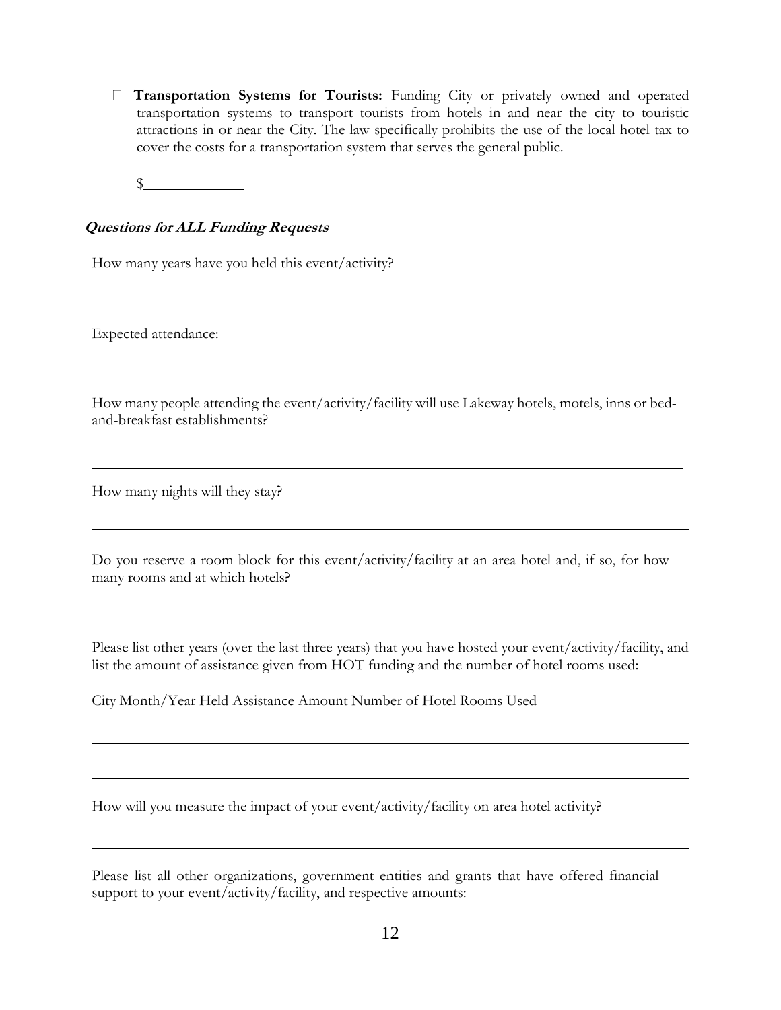**Transportation Systems for Tourists:** Funding City or privately owned and operated transportation systems to transport tourists from hotels in and near the city to touristic attractions in or near the City. The law specifically prohibits the use of the local hotel tax to cover the costs for a transportation system that serves the general public.

 $\mathbb{S}$ 

#### **Questions for ALL Funding Requests**

How many years have you held this event/activity?

Expected attendance:

How many people attending the event/activity/facility will use Lakeway hotels, motels, inns or bedand-breakfast establishments?

How many nights will they stay?

Do you reserve a room block for this event/activity/facility at an area hotel and, if so, for how many rooms and at which hotels?

Please list other years (over the last three years) that you have hosted your event/activity/facility, and list the amount of assistance given from HOT funding and the number of hotel rooms used:

City Month/Year Held Assistance Amount Number of Hotel Rooms Used

How will you measure the impact of your event/activity/facility on area hotel activity?

Please list all other organizations, government entities and grants that have offered financial support to your event/activity/facility, and respective amounts: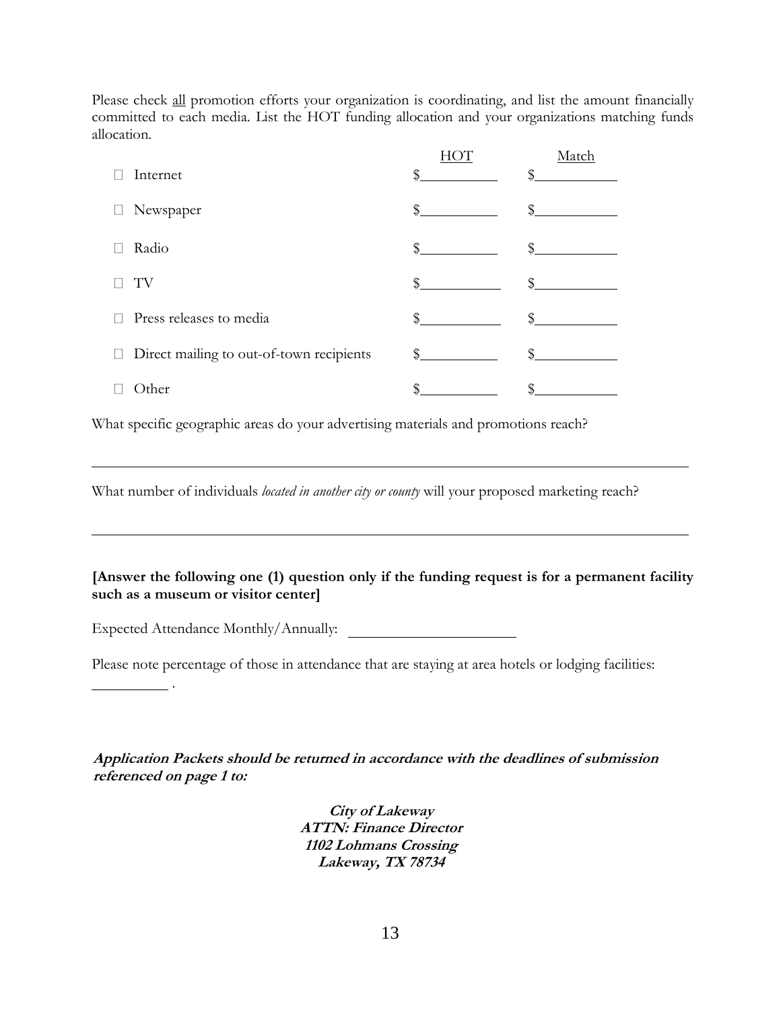Please check all promotion efforts your organization is coordinating, and list the amount financially committed to each media. List the HOT funding allocation and your organizations matching funds allocation.

|   |                                          |    | Match |
|---|------------------------------------------|----|-------|
|   | Internet                                 |    |       |
|   | Newspaper                                | \$ |       |
|   | Radio                                    | \$ |       |
|   | TV                                       | ς  |       |
|   | Press releases to media                  | \$ |       |
| ⊔ | Direct mailing to out-of-town recipients | \$ |       |
|   | )ther                                    |    |       |

What specific geographic areas do your advertising materials and promotions reach?

What number of individuals *located in another city or county* will your proposed marketing reach?

#### **[Answer the following one (1) question only if the funding request is for a permanent facility such as a museum or visitor center]**

Expected Attendance Monthly/Annually:

.

Please note percentage of those in attendance that are staying at area hotels or lodging facilities:

**Application Packets should be returned in accordance with the deadlines of submission referenced on page 1 to:**

> **City of Lakeway ATTN: Finance Director 1102 Lohmans Crossing Lakeway, TX 78734**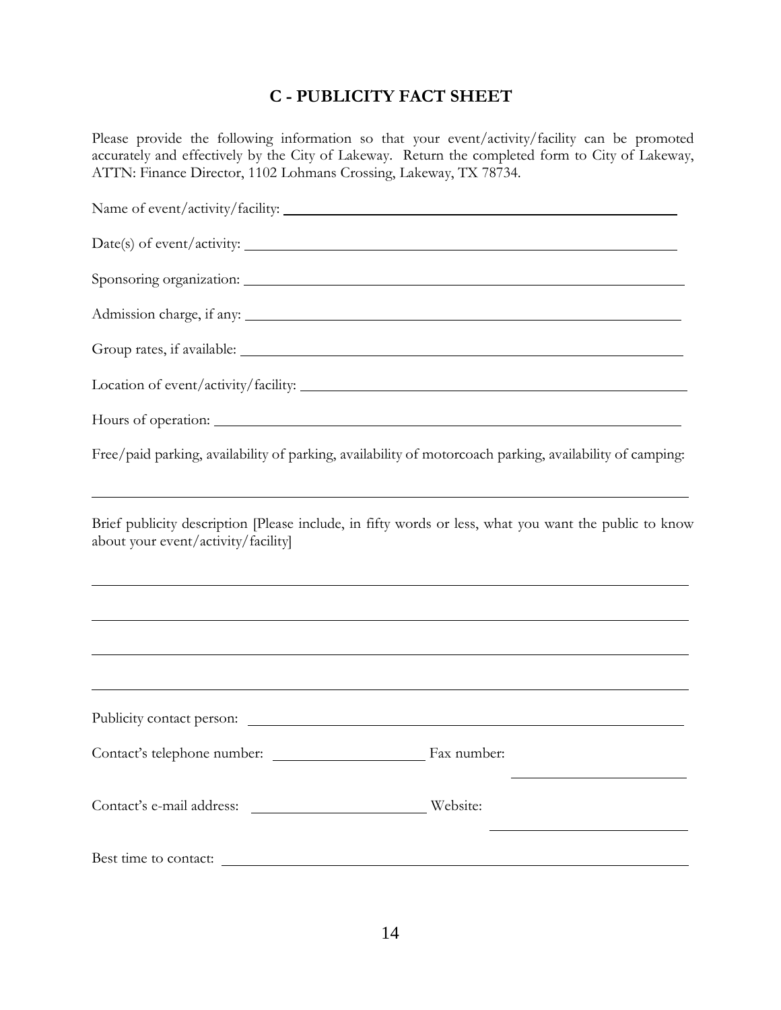# **C - PUBLICITY FACT SHEET**

Please provide the following information so that your event/activity/facility can be promoted accurately and effectively by the City of Lakeway. Return the completed form to City of Lakeway, ATTN: Finance Director, 1102 Lohmans Crossing, Lakeway, TX 78734.

|                                     | Free/paid parking, availability of parking, availability of motorcoach parking, availability of camping:                                                                                                                                                                                                                         |
|-------------------------------------|----------------------------------------------------------------------------------------------------------------------------------------------------------------------------------------------------------------------------------------------------------------------------------------------------------------------------------|
| about your event/activity/facility] | Brief publicity description [Please include, in fifty words or less, what you want the public to know<br>,我们也不能在这里的时候,我们也不能在这里的时候,我们也不能不能不能不能不能不能不能不能不能不能不能不能不能不能不能。<br>第2012章 我们的时候,我们的时候,我们的时候,我们的时候,我们的时候,我们的时候,我们的时候,我们的时候,我们的时候,我们的时候,我们的时候,我们的时候,我                                                                         |
|                                     | ,我们也不会有什么。""我们的人,我们也不会有什么?""我们的人,我们也不会有什么?""我们的人,我们也不会有什么?""我们的人,我们也不会有什么?""我们的人<br><u> 1989 - Andrea Santa Andrea Andrea Andrea Andrea Andrea Andrea Andrea Andrea Andrea Andrea Andrea Andrea Andr</u><br><u> 1989 - Andrea Santa Andrea Andrea Andrea Andrea Andrea Andrea Andrea Andrea Andrea Andrea Andrea Andrea Andr</u> |
|                                     |                                                                                                                                                                                                                                                                                                                                  |
|                                     |                                                                                                                                                                                                                                                                                                                                  |
|                                     |                                                                                                                                                                                                                                                                                                                                  |
| Best time to contact:               |                                                                                                                                                                                                                                                                                                                                  |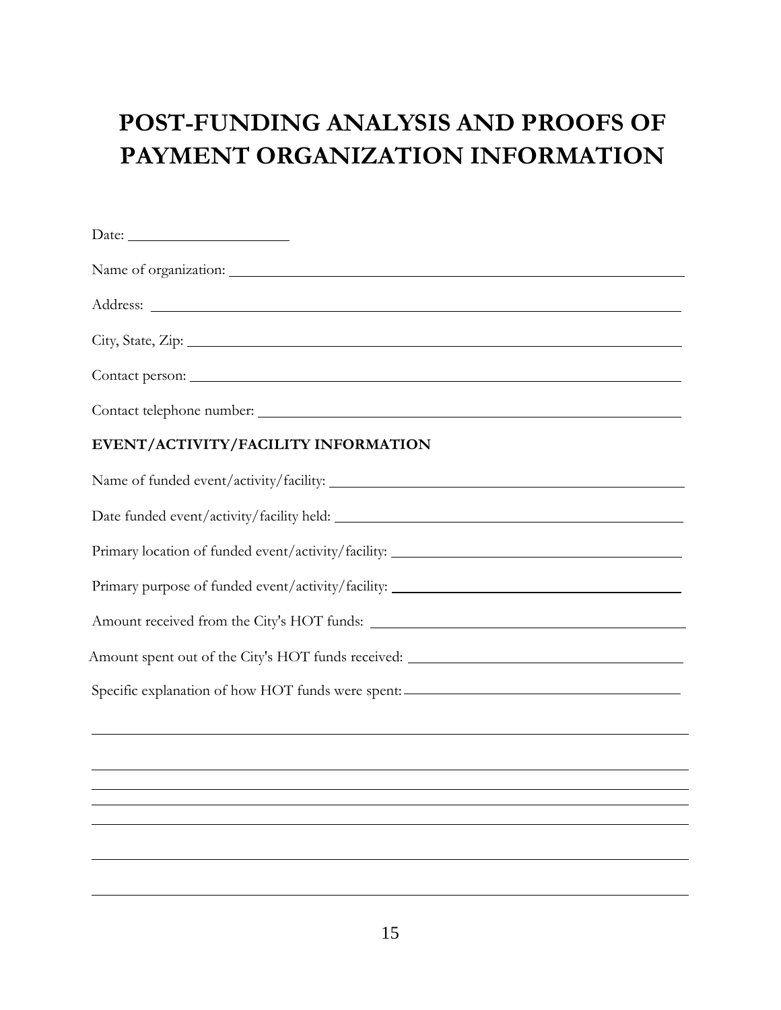# **POST-FUNDING ANALYSIS AND PROOFS OF PAYMENT ORGANIZATION INFORMATION**

| EVENT/ACTIVITY/FACILITY INFORMATION                                                                                   |
|-----------------------------------------------------------------------------------------------------------------------|
|                                                                                                                       |
|                                                                                                                       |
| Primary location of funded event/activity/facility: _____________________________                                     |
| Primary purpose of funded event/activity/facility: ______________________________                                     |
|                                                                                                                       |
|                                                                                                                       |
| Specific explanation of how HOT funds were spent: _______________________________                                     |
| <u> 1989 - Johann Stoff, deutscher Stoff, der Stoff, der Stoff, der Stoff, der Stoff, der Stoff, der Stoff, der S</u> |
|                                                                                                                       |
|                                                                                                                       |
|                                                                                                                       |
|                                                                                                                       |
|                                                                                                                       |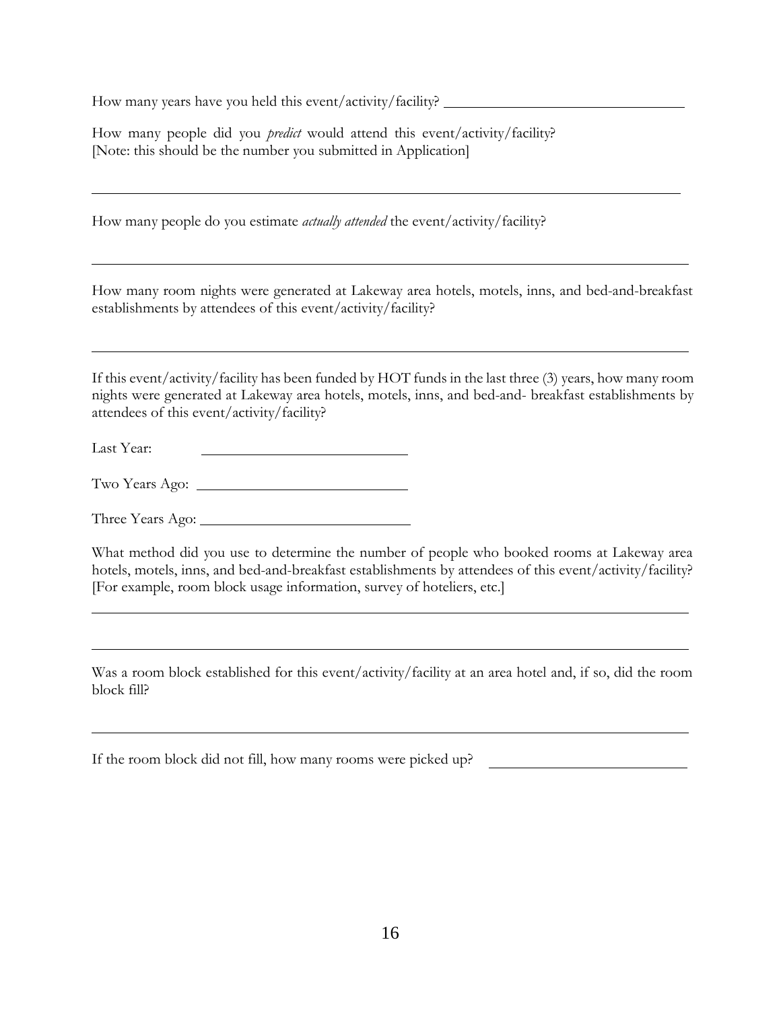How many years have you held this event/activity/facility?

How many people did you *predict* would attend this event/activity/facility? [Note: this should be the number you submitted in Application]

How many people do you estimate *actually attended* the event/activity/facility?

How many room nights were generated at Lakeway area hotels, motels, inns, and bed-and-breakfast establishments by attendees of this event/activity/facility?

If this event/activity/facility has been funded by HOT funds in the last three (3) years, how many room nights were generated at Lakeway area hotels, motels, inns, and bed-and- breakfast establishments by attendees of this event/activity/facility?

Last Year:

Two Years Ago:

Three Years Ago:

What method did you use to determine the number of people who booked rooms at Lakeway area hotels, motels, inns, and bed-and-breakfast establishments by attendees of this event/activity/facility? [For example, room block usage information, survey of hoteliers, etc.]

Was a room block established for this event/activity/facility at an area hotel and, if so, did the room block fill?

If the room block did not fill, how many rooms were picked up?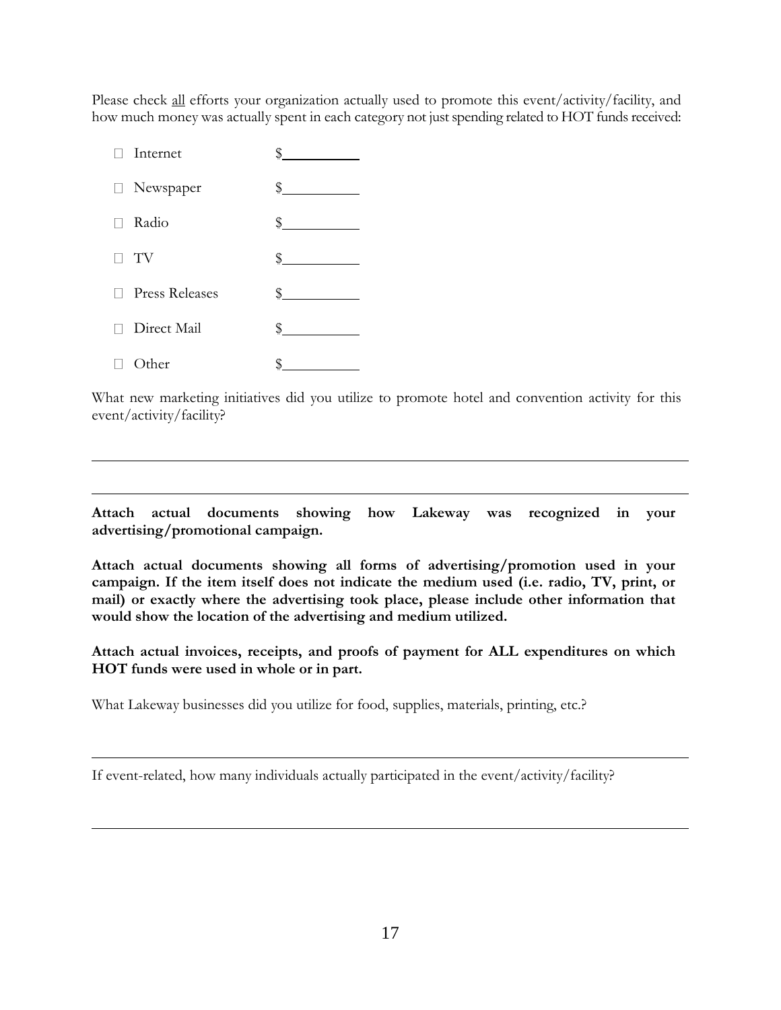Please check all efforts your organization actually used to promote this event/activity/facility, and how much money was actually spent in each category not just spending related to HOT funds received:

| Internet         |                                                        |
|------------------|--------------------------------------------------------|
| □ Newspaper      | $\,$                                                   |
| Radio            | $\frac{1}{2}$<br><u> a shekara ta 1999 a shekara t</u> |
| TV               | $\frac{\ }{\ }$                                        |
| □ Press Releases | $\frac{1}{2}$                                          |
| □ Direct Mail    | \$                                                     |
| )ther            |                                                        |

What new marketing initiatives did you utilize to promote hotel and convention activity for this event/activity/facility?

**Attach actual documents showing how Lakeway was recognized in your advertising/promotional campaign.**

**Attach actual documents showing all forms of advertising/promotion used in your campaign. If the item itself does not indicate the medium used (i.e. radio, TV, print, or mail) or exactly where the advertising took place, please include other information that would show the location of the advertising and medium utilized.**

**Attach actual invoices, receipts, and proofs of payment for ALL expenditures on which HOT funds were used in whole or in part.**

What Lakeway businesses did you utilize for food, supplies, materials, printing, etc.?

If event-related, how many individuals actually participated in the event/activity/facility?